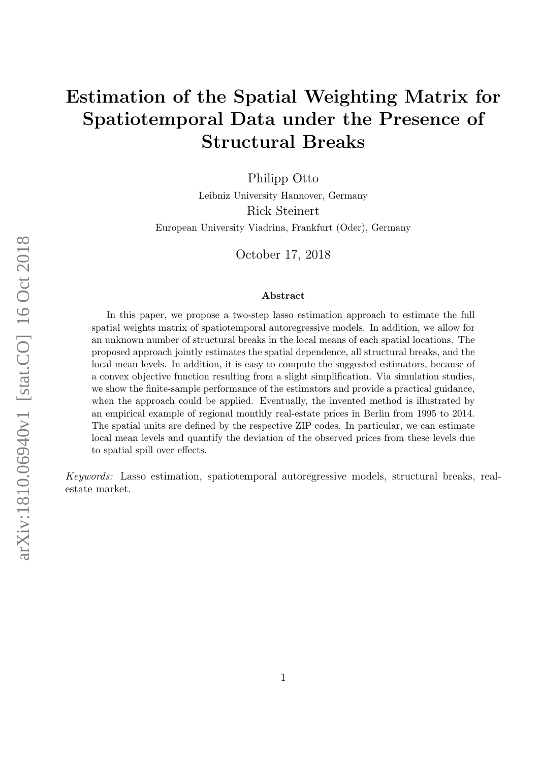# Estimation of the Spatial Weighting Matrix for Spatiotemporal Data under the Presence of Structural Breaks

Philipp Otto

Leibniz University Hannover, Germany Rick Steinert European University Viadrina, Frankfurt (Oder), Germany

October 17, 2018

#### Abstract

In this paper, we propose a two-step lasso estimation approach to estimate the full spatial weights matrix of spatiotemporal autoregressive models. In addition, we allow for an unknown number of structural breaks in the local means of each spatial locations. The proposed approach jointly estimates the spatial dependence, all structural breaks, and the local mean levels. In addition, it is easy to compute the suggested estimators, because of a convex objective function resulting from a slight simplification. Via simulation studies, we show the finite-sample performance of the estimators and provide a practical guidance, when the approach could be applied. Eventually, the invented method is illustrated by an empirical example of regional monthly real-estate prices in Berlin from 1995 to 2014. The spatial units are defined by the respective ZIP codes. In particular, we can estimate local mean levels and quantify the deviation of the observed prices from these levels due to spatial spill over effects.

Keywords: Lasso estimation, spatiotemporal autoregressive models, structural breaks, realestate market.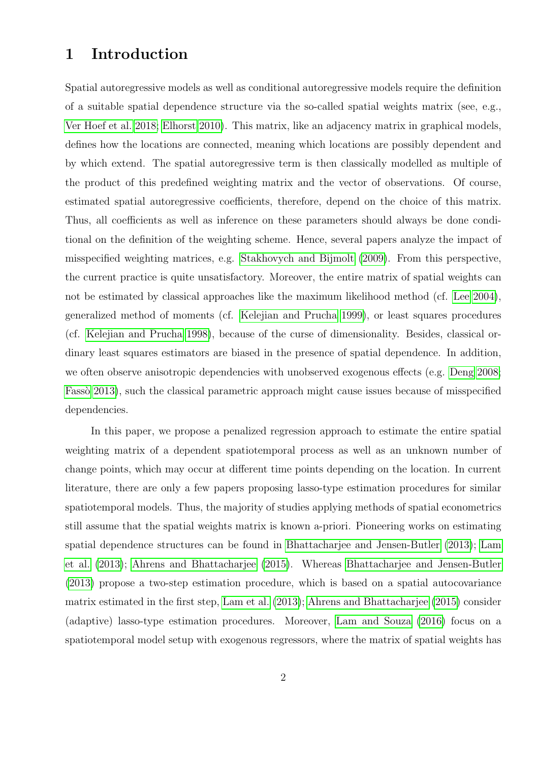# 1 Introduction

Spatial autoregressive models as well as conditional autoregressive models require the definition of a suitable spatial dependence structure via the so-called spatial weights matrix (see, e.g., [Ver Hoef et al. 2018;](#page-24-0) [Elhorst 2010\)](#page-23-0). This matrix, like an adjacency matrix in graphical models, defines how the locations are connected, meaning which locations are possibly dependent and by which extend. The spatial autoregressive term is then classically modelled as multiple of the product of this predefined weighting matrix and the vector of observations. Of course, estimated spatial autoregressive coefficients, therefore, depend on the choice of this matrix. Thus, all coefficients as well as inference on these parameters should always be done conditional on the definition of the weighting scheme. Hence, several papers analyze the impact of misspecified weighting matrices, e.g. [Stakhovych and Bijmolt](#page-24-1) [\(2009\)](#page-24-1). From this perspective, the current practice is quite unsatisfactory. Moreover, the entire matrix of spatial weights can not be estimated by classical approaches like the maximum likelihood method (cf. [Lee 2004\)](#page-24-2), generalized method of moments (cf. [Kelejian and Prucha 1999\)](#page-24-3), or least squares procedures (cf. [Kelejian and Prucha 1998\)](#page-24-4), because of the curse of dimensionality. Besides, classical ordinary least squares estimators are biased in the presence of spatial dependence. In addition, we often observe anisotropic dependencies with unobserved exogenous effects (e.g. [Deng 2008;](#page-23-1) [Fass`o 2013\)](#page-23-2), such the classical parametric approach might cause issues because of misspecified dependencies.

In this paper, we propose a penalized regression approach to estimate the entire spatial weighting matrix of a dependent spatiotemporal process as well as an unknown number of change points, which may occur at different time points depending on the location. In current literature, there are only a few papers proposing lasso-type estimation procedures for similar spatiotemporal models. Thus, the majority of studies applying methods of spatial econometrics still assume that the spatial weights matrix is known a-priori. Pioneering works on estimating spatial dependence structures can be found in [Bhattacharjee and Jensen-Butler](#page-23-3) [\(2013\)](#page-23-3); [Lam](#page-24-5) [et al.](#page-24-5) [\(2013\)](#page-24-5); [Ahrens and Bhattacharjee](#page-23-4) [\(2015\)](#page-23-4). Whereas [Bhattacharjee and Jensen-Butler](#page-23-3) [\(2013\)](#page-23-3) propose a two-step estimation procedure, which is based on a spatial autocovariance matrix estimated in the first step, [Lam et al.](#page-24-5) [\(2013\)](#page-24-5); [Ahrens and Bhattacharjee](#page-23-4) [\(2015\)](#page-23-4) consider (adaptive) lasso-type estimation procedures. Moreover, [Lam and Souza](#page-24-6) [\(2016\)](#page-24-6) focus on a spatiotemporal model setup with exogenous regressors, where the matrix of spatial weights has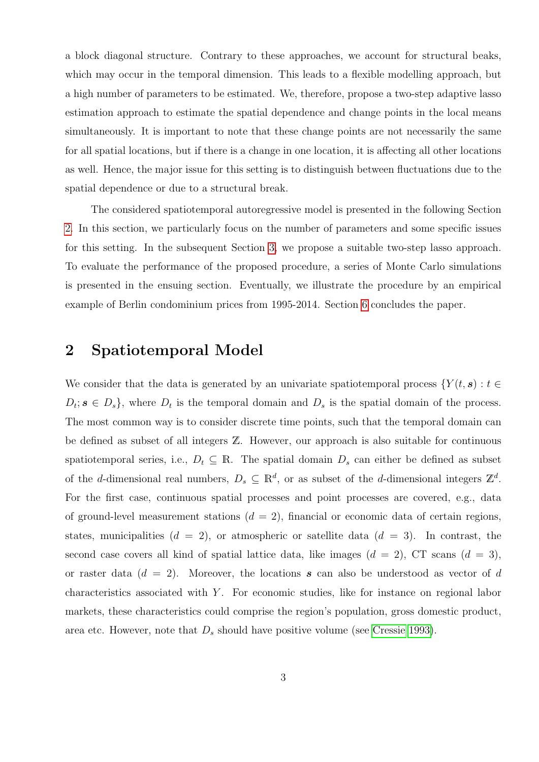a block diagonal structure. Contrary to these approaches, we account for structural beaks, which may occur in the temporal dimension. This leads to a flexible modelling approach, but a high number of parameters to be estimated. We, therefore, propose a two-step adaptive lasso estimation approach to estimate the spatial dependence and change points in the local means simultaneously. It is important to note that these change points are not necessarily the same for all spatial locations, but if there is a change in one location, it is affecting all other locations as well. Hence, the major issue for this setting is to distinguish between fluctuations due to the spatial dependence or due to a structural break.

The considered spatiotemporal autoregressive model is presented in the following Section [2.](#page-2-0) In this section, we particularly focus on the number of parameters and some specific issues for this setting. In the subsequent Section [3,](#page-6-0) we propose a suitable two-step lasso approach. To evaluate the performance of the proposed procedure, a series of Monte Carlo simulations is presented in the ensuing section. Eventually, we illustrate the procedure by an empirical example of Berlin condominium prices from 1995-2014. Section [6](#page-21-0) concludes the paper.

### <span id="page-2-0"></span>2 Spatiotemporal Model

We consider that the data is generated by an univariate spatiotemporal process  $\{Y(t, s) : t \in$  $D_t$ ;  $s \in D_s$ , where  $D_t$  is the temporal domain and  $D_s$  is the spatial domain of the process. The most common way is to consider discrete time points, such that the temporal domain can be defined as subset of all integers Z. However, our approach is also suitable for continuous spatiotemporal series, i.e.,  $D_t \subseteq \mathbb{R}$ . The spatial domain  $D_s$  can either be defined as subset of the d-dimensional real numbers,  $D_s \subseteq \mathbb{R}^d$ , or as subset of the d-dimensional integers  $\mathbb{Z}^d$ . For the first case, continuous spatial processes and point processes are covered, e.g., data of ground-level measurement stations  $(d = 2)$ , financial or economic data of certain regions, states, municipalities  $(d = 2)$ , or atmospheric or satellite data  $(d = 3)$ . In contrast, the second case covers all kind of spatial lattice data, like images  $(d = 2)$ , CT scans  $(d = 3)$ , or raster data  $(d = 2)$ . Moreover, the locations s can also be understood as vector of d characteristics associated with  $Y$ . For economic studies, like for instance on regional labor markets, these characteristics could comprise the region's population, gross domestic product, area etc. However, note that  $D_s$  should have positive volume (see [Cressie 1993\)](#page-23-5).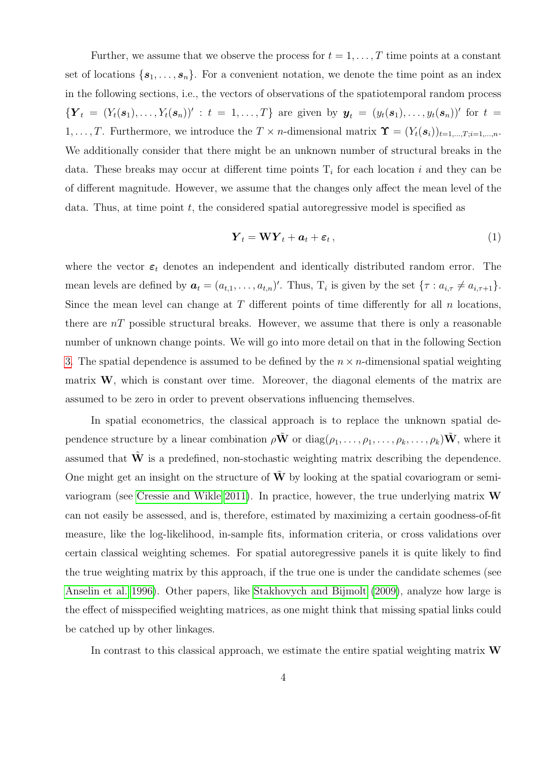Further, we assume that we observe the process for  $t = 1, \ldots, T$  time points at a constant set of locations  $\{s_1, \ldots, s_n\}$ . For a convenient notation, we denote the time point as an index in the following sections, i.e., the vectors of observations of the spatiotemporal random process  ${Y_t = (Y_t(s_1),..., Y_t(s_n))' : t = 1,...,T}$  are given by  $y_t = (y_t(s_1),..., y_t(s_n))'$  for  $t =$ 1, ..., T. Furthermore, we introduce the  $T \times n$ -dimensional matrix  $\mathbf{\hat{Y}} = (Y_t(\mathbf{s}_i))_{t=1,\dots,T; i=1,\dots,n}$ . We additionally consider that there might be an unknown number of structural breaks in the data. These breaks may occur at different time points  $T_i$  for each location i and they can be of different magnitude. However, we assume that the changes only affect the mean level of the data. Thus, at time point  $t$ , the considered spatial autoregressive model is specified as

<span id="page-3-0"></span>
$$
\boldsymbol{Y}_t = \mathbf{W} \boldsymbol{Y}_t + \boldsymbol{a}_t + \boldsymbol{\varepsilon}_t, \tag{1}
$$

where the vector  $\varepsilon_t$  denotes an independent and identically distributed random error. The mean levels are defined by  $a_t = (a_{t,1}, \ldots, a_{t,n})'$ . Thus,  $T_i$  is given by the set  $\{\tau : a_{i,\tau} \neq a_{i,\tau+1}\}.$ Since the mean level can change at  $T$  different points of time differently for all  $n$  locations, there are  $nT$  possible structural breaks. However, we assume that there is only a reasonable number of unknown change points. We will go into more detail on that in the following Section [3.](#page-6-0) The spatial dependence is assumed to be defined by the  $n \times n$ -dimensional spatial weighting matrix W, which is constant over time. Moreover, the diagonal elements of the matrix are assumed to be zero in order to prevent observations influencing themselves.

In spatial econometrics, the classical approach is to replace the unknown spatial dependence structure by a linear combination  $\rho \tilde{\mathbf{W}}$  or  $diag(\rho_1, \ldots, \rho_1, \ldots, \rho_k, \ldots, \rho_k) \tilde{\mathbf{W}}$ , where it assumed that  $\tilde{W}$  is a predefined, non-stochastic weighting matrix describing the dependence. One might get an insight on the structure of  $W$  by looking at the spatial covariogram or semivariogram (see [Cressie and Wikle 2011\)](#page-23-6). In practice, however, the true underlying matrix W can not easily be assessed, and is, therefore, estimated by maximizing a certain goodness-of-fit measure, like the log-likelihood, in-sample fits, information criteria, or cross validations over certain classical weighting schemes. For spatial autoregressive panels it is quite likely to find the true weighting matrix by this approach, if the true one is under the candidate schemes (see [Anselin et al. 1996\)](#page-23-7). Other papers, like [Stakhovych and Bijmolt](#page-24-1) [\(2009\)](#page-24-1), analyze how large is the effect of misspecified weighting matrices, as one might think that missing spatial links could be catched up by other linkages.

In contrast to this classical approach, we estimate the entire spatial weighting matrix  $\bf{W}$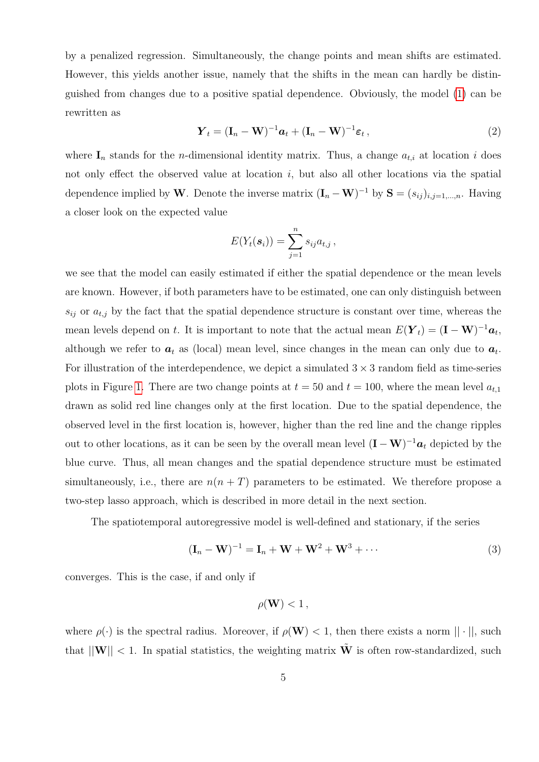by a penalized regression. Simultaneously, the change points and mean shifts are estimated. However, this yields another issue, namely that the shifts in the mean can hardly be distinguished from changes due to a positive spatial dependence. Obviously, the model [\(1\)](#page-3-0) can be rewritten as

$$
\boldsymbol{Y}_t = (\mathbf{I}_n - \mathbf{W})^{-1} \boldsymbol{a}_t + (\mathbf{I}_n - \mathbf{W})^{-1} \boldsymbol{\varepsilon}_t, \qquad (2)
$$

where  $I_n$  stands for the *n*-dimensional identity matrix. Thus, a change  $a_{t,i}$  at location i does not only effect the observed value at location  $i$ , but also all other locations via the spatial dependence implied by W. Denote the inverse matrix  $(I_n - W)^{-1}$  by  $S = (s_{ij})_{i,j=1,\dots,n}$ . Having a closer look on the expected value

$$
E(Y_t(\boldsymbol{s}_i))=\sum_{j=1}^n s_{ij}a_{t,j},
$$

we see that the model can easily estimated if either the spatial dependence or the mean levels are known. However, if both parameters have to be estimated, one can only distinguish between  $s_{ij}$  or  $a_{t,j}$  by the fact that the spatial dependence structure is constant over time, whereas the mean levels depend on t. It is important to note that the actual mean  $E(\boldsymbol{Y}_t) = (\mathbf{I} - \mathbf{W})^{-1} \boldsymbol{a}_t$ , although we refer to  $a_t$  as (local) mean level, since changes in the mean can only due to  $a_t$ . For illustration of the interdependence, we depict a simulated  $3 \times 3$  random field as time-series plots in Figure [1.](#page-5-0) There are two change points at  $t = 50$  and  $t = 100$ , where the mean level  $a_{t,1}$ drawn as solid red line changes only at the first location. Due to the spatial dependence, the observed level in the first location is, however, higher than the red line and the change ripples out to other locations, as it can be seen by the overall mean level  $(I - W)^{-1}a_t$  depicted by the blue curve. Thus, all mean changes and the spatial dependence structure must be estimated simultaneously, i.e., there are  $n(n+T)$  parameters to be estimated. We therefore propose a two-step lasso approach, which is described in more detail in the next section.

The spatiotemporal autoregressive model is well-defined and stationary, if the series

$$
(\mathbf{I}_n - \mathbf{W})^{-1} = \mathbf{I}_n + \mathbf{W} + \mathbf{W}^2 + \mathbf{W}^3 + \cdots
$$
\n(3)

converges. This is the case, if and only if

$$
\rho(\mathbf{W}) < 1\,,
$$

where  $\rho(\cdot)$  is the spectral radius. Moreover, if  $\rho(\mathbf{W}) < 1$ , then there exists a norm  $|| \cdot ||$ , such that  $||\mathbf{W}|| < 1$ . In spatial statistics, the weighting matrix  $\tilde{\mathbf{W}}$  is often row-standardized, such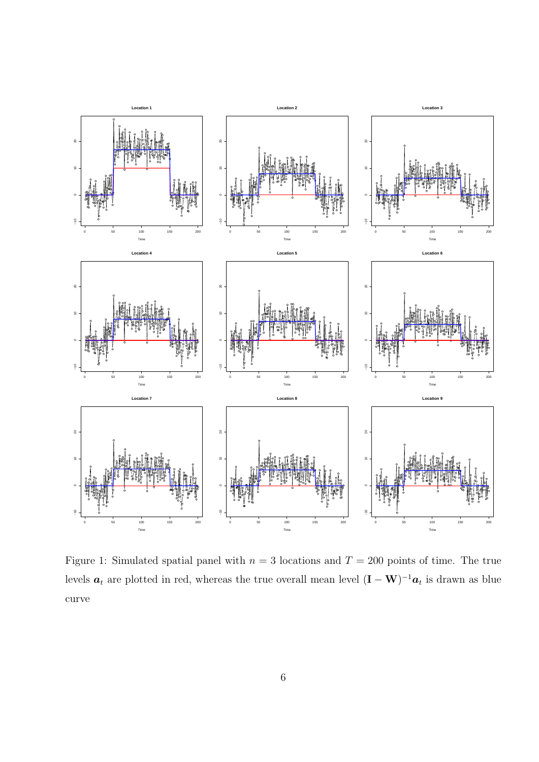

<span id="page-5-0"></span>Figure 1: Simulated spatial panel with  $n = 3$  locations and  $T = 200$  points of time. The true levels  $a_t$  are plotted in red, whereas the true overall mean level  $(I - W)^{-1}a_t$  is drawn as blue curve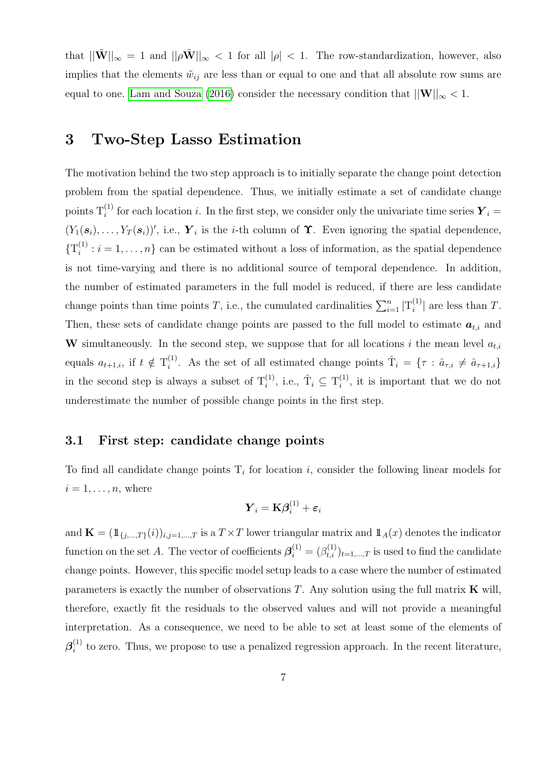that  $||\tilde{\mathbf{W}}||_{\infty} = 1$  and  $||\rho \tilde{\mathbf{W}}||_{\infty} < 1$  for all  $|\rho| < 1$ . The row-standardization, however, also implies that the elements  $\tilde{w}_{ij}$  are less than or equal to one and that all absolute row sums are equal to one. [Lam and Souza](#page-24-6) [\(2016\)](#page-24-6) consider the necessary condition that  $||\mathbf{W}||_{\infty} < 1$ .

## <span id="page-6-0"></span>3 Two-Step Lasso Estimation

The motivation behind the two step approach is to initially separate the change point detection problem from the spatial dependence. Thus, we initially estimate a set of candidate change points  $T_i^{(1)}$  for each location i. In the first step, we consider only the univariate time series  $\boldsymbol{Y}_i =$  $(Y_1(s_i), \ldots, Y_T(s_i))'$ , i.e.,  $\boldsymbol{Y}_i$  is the *i*-th column of  $\boldsymbol{\Upsilon}$ . Even ignoring the spatial dependence,  $\{\mathrm{T}_i^{(1)}\}$  $i_i^{(1)}$ :  $i = 1, ..., n$  can be estimated without a loss of information, as the spatial dependence is not time-varying and there is no additional source of temporal dependence. In addition, the number of estimated parameters in the full model is reduced, if there are less candidate change points than time points T, i.e., the cumulated cardinalities  $\sum_{i=1}^{n} |T_i^{(1)}|$  $\binom{1}{i}$  are less than T. Then, these sets of candidate change points are passed to the full model to estimate  $a_{t,i}$  and W simultaneously. In the second step, we suppose that for all locations i the mean level  $a_{t,i}$ equals  $a_{t+1,i}$ , if  $t \notin T_i^{(1)}$ <sup>(1)</sup>. As the set of all estimated change points  $\hat{T}_i = \{ \tau : \hat{a}_{\tau,i} \neq \hat{a}_{\tau+1,i} \}$ in the second step is always a subset of  $T_i^{(1)}$ , i.e.,  $\hat{T}_i \subseteq T_i^{(1)}$  $i^{(1)}$ , it is important that we do not underestimate the number of possible change points in the first step.

#### 3.1 First step: candidate change points

To find all candidate change points  $T_i$  for location i, consider the following linear models for  $i = 1, \ldots, n$ , where

$$
\boldsymbol{Y}_i = \mathbf{K} \boldsymbol{\beta}_i^{(1)} + \boldsymbol{\varepsilon}_i
$$

and  $\mathbf{K} = (\mathbb{1}_{\{j,\ldots,T\}}(i))_{i,j=1,\ldots,T}$  is a  $T \times T$  lower triangular matrix and  $\mathbb{1}_A(x)$  denotes the indicator function on the set A. The vector of coefficients  $\boldsymbol{\beta}_i^{(1)} = (\beta_{t,i}^{(1)})_{t=1,\dots,T}$  is used to find the candidate change points. However, this specific model setup leads to a case where the number of estimated parameters is exactly the number of observations  $T$ . Any solution using the full matrix  $\bf{K}$  will, therefore, exactly fit the residuals to the observed values and will not provide a meaningful interpretation. As a consequence, we need to be able to set at least some of the elements of  $\boldsymbol{\beta}_i^{(1)}$  $i<sup>(1)</sup>$  to zero. Thus, we propose to use a penalized regression approach. In the recent literature,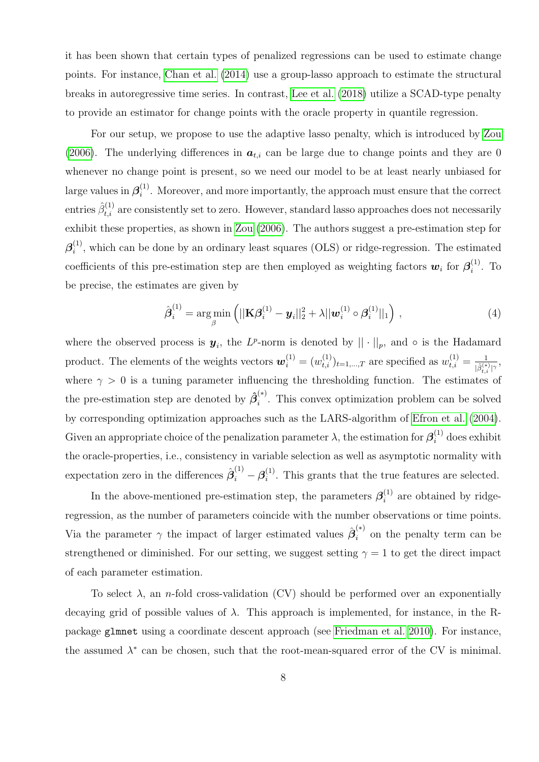it has been shown that certain types of penalized regressions can be used to estimate change points. For instance, [Chan et al.](#page-23-8) [\(2014\)](#page-23-8) use a group-lasso approach to estimate the structural breaks in autoregressive time series. In contrast, [Lee et al.](#page-24-7) [\(2018\)](#page-24-7) utilize a SCAD-type penalty to provide an estimator for change points with the oracle property in quantile regression.

For our setup, we propose to use the adaptive lasso penalty, which is introduced by [Zou](#page-25-0) [\(2006\)](#page-25-0). The underlying differences in  $a_{t,i}$  can be large due to change points and they are 0 whenever no change point is present, so we need our model to be at least nearly unbiased for large values in  $\beta_i^{(1)}$  $i<sup>(1)</sup>$ . Moreover, and more importantly, the approach must ensure that the correct entries  $\hat{\beta}_{t,i}^{(1)}$  are consistently set to zero. However, standard lasso approaches does not necessarily exhibit these properties, as shown in [Zou](#page-25-0) [\(2006\)](#page-25-0). The authors suggest a pre-estimation step for  $\boldsymbol{\beta}_i^{(1)}$  $i_j^{(1)}$ , which can be done by an ordinary least squares (OLS) or ridge-regression. The estimated coefficients of this pre-estimation step are then employed as weighting factors  $w_i$  for  $\beta_i^{(1)}$  $i^{(1)}$ . To be precise, the estimates are given by

$$
\hat{\boldsymbol{\beta}}_i^{(1)} = \arg\min_{\beta} \left( ||\mathbf{K}\boldsymbol{\beta}_i^{(1)} - \boldsymbol{y}_i||_2^2 + \lambda ||\boldsymbol{w}_i^{(1)} \circ \boldsymbol{\beta}_i^{(1)}||_1 \right), \qquad (4)
$$

where the observed process is  $y_i$ , the L<sup>p</sup>-norm is denoted by  $|| \cdot ||_p$ , and  $\circ$  is the Hadamard product. The elements of the weights vectors  $\mathbf{w}_i^{(1)} = (w_{t,i}^{(1)})_{t=1,\dots,T}$  are specified as  $w_{t,i}^{(1)} = \frac{1}{\hat{\beta}^{(k)}}$  $\frac{1}{|\hat{\beta}^{(*)}_{t,i}|^{\gamma}},$ where  $\gamma > 0$  is a tuning parameter influencing the thresholding function. The estimates of the pre-estimation step are denoted by  $\hat{\beta}_i^{(*)}$  $i^{\prime\prime}$ . This convex optimization problem can be solved by corresponding optimization approaches such as the LARS-algorithm of [Efron et al.](#page-23-9) [\(2004\)](#page-23-9). Given an appropriate choice of the penalization parameter  $\lambda$ , the estimation for  $\boldsymbol{\beta}_i^{(1)}$  does exhibit the oracle-properties, i.e., consistency in variable selection as well as asymptotic normality with expectation zero in the differences  $\hat{\beta}_i^{(1)} - \beta_i^{(1)}$  $i^{(1)}$ . This grants that the true features are selected.

In the above-mentioned pre-estimation step, the parameters  $\beta_i^{(1)}$  $i^{(1)}$  are obtained by ridgeregression, as the number of parameters coincide with the number observations or time points. Via the parameter  $\gamma$  the impact of larger estimated values  $\hat{\boldsymbol{\beta}}_i^{(*)}$  $i_i^{(n)}$  on the penalty term can be strengthened or diminished. For our setting, we suggest setting  $\gamma = 1$  to get the direct impact of each parameter estimation.

To select  $\lambda$ , an *n*-fold cross-validation (CV) should be performed over an exponentially decaying grid of possible values of  $\lambda$ . This approach is implemented, for instance, in the Rpackage glmnet using a coordinate descent approach (see [Friedman et al. 2010\)](#page-23-10). For instance, the assumed  $\lambda^*$  can be chosen, such that the root-mean-squared error of the CV is minimal.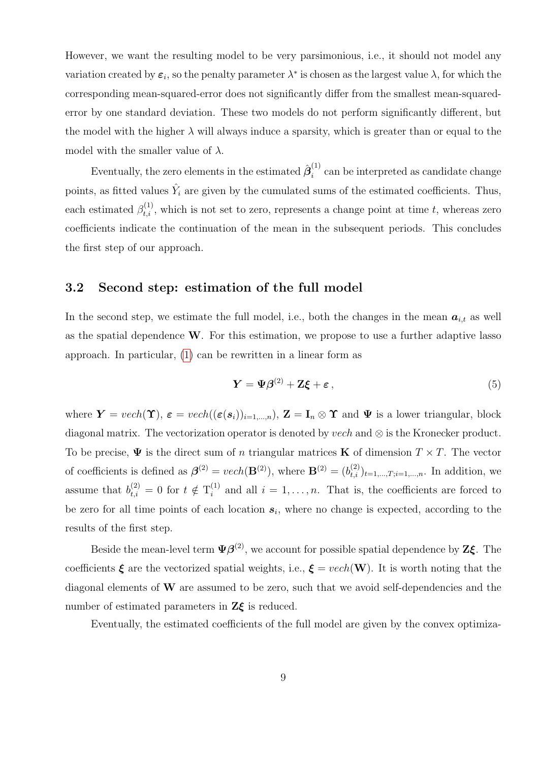However, we want the resulting model to be very parsimonious, i.e., it should not model any variation created by  $\varepsilon_i$ , so the penalty parameter  $\lambda^*$  is chosen as the largest value  $\lambda$ , for which the corresponding mean-squared-error does not significantly differ from the smallest mean-squarederror by one standard deviation. These two models do not perform significantly different, but the model with the higher  $\lambda$  will always induce a sparsity, which is greater than or equal to the model with the smaller value of  $\lambda$ .

Eventually, the zero elements in the estimated  $\hat{\boldsymbol{\beta}}_i^{(1)}$  $i_i^{(1)}$  can be interpreted as candidate change points, as fitted values  $\hat{Y}_i$  are given by the cumulated sums of the estimated coefficients. Thus, each estimated  $\beta_{t,i}^{(1)}$ , which is not set to zero, represents a change point at time t, whereas zero coefficients indicate the continuation of the mean in the subsequent periods. This concludes the first step of our approach.

#### 3.2 Second step: estimation of the full model

In the second step, we estimate the full model, i.e., both the changes in the mean  $a_{i,t}$  as well as the spatial dependence W. For this estimation, we propose to use a further adaptive lasso approach. In particular, [\(1\)](#page-3-0) can be rewritten in a linear form as

$$
Y = \Psi \beta^{(2)} + Z \xi + \varepsilon, \tag{5}
$$

where  $\mathbf{Y} = vech(\mathbf{\hat{T}}), \ \boldsymbol{\varepsilon} = vech((\boldsymbol{\varepsilon}(\mathbf{s}_i))_{i=1,\dots,n}), \ \mathbf{Z} = \mathbf{I}_n \otimes \mathbf{\hat{T}}$  and  $\boldsymbol{\Psi}$  is a lower triangular, block diagonal matrix. The vectorization operator is denoted by *vech* and  $\otimes$  is the Kronecker product. To be precise,  $\Psi$  is the direct sum of n triangular matrices **K** of dimension  $T \times T$ . The vector of coefficients is defined as  $\beta^{(2)} = vech(\mathbf{B}^{(2)})$ , where  $\mathbf{B}^{(2)} = (b_{t,i}^{(2)})_{t=1,\dots,T; i=1,\dots,n}$ . In addition, we assume that  $b_{t,i}^{(2)} = 0$  for  $t \notin T_i^{(1)}$  $i_i^{(1)}$  and all  $i = 1, \ldots, n$ . That is, the coefficients are forced to be zero for all time points of each location  $s_i$ , where no change is expected, according to the results of the first step.

Beside the mean-level term  $\Psi \beta^{(2)}$ , we account for possible spatial dependence by  $\mathbb{Z} \xi$ . The coefficients  $\xi$  are the vectorized spatial weights, i.e.,  $\xi = vech(\mathbf{W})$ . It is worth noting that the diagonal elements of  $W$  are assumed to be zero, such that we avoid self-dependencies and the number of estimated parameters in  $Z\xi$  is reduced.

Eventually, the estimated coefficients of the full model are given by the convex optimiza-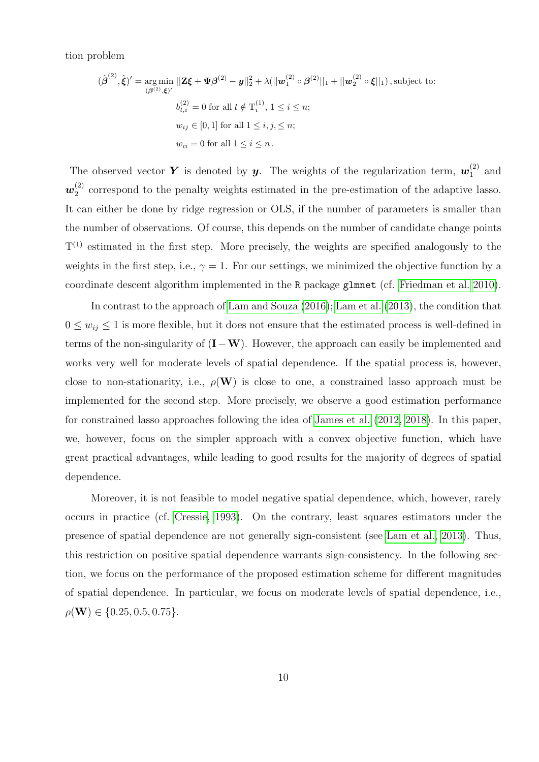tion problem

$$
(\hat{\beta}^{(2)}, \hat{\xi})' = \underset{(\beta^{(2)}, \xi)'}{\arg \min} ||\mathbf{Z}\xi + \mathbf{\Psi}\beta^{(2)} - \mathbf{y}||_2^2 + \lambda(||\mathbf{w}_1^{(2)} \circ \beta^{(2)}||_1 + ||\mathbf{w}_2^{(2)} \circ \xi||_1), \text{subject to:}
$$
  

$$
b_{i,i}^{(2)} = 0 \text{ for all } t \notin \mathbf{T}_i^{(1)}, 1 \le i \le n;
$$

$$
w_{ij} \in [0, 1] \text{ for all } 1 \le i, j, \le n;
$$

$$
w_{ii} = 0 \text{ for all } 1 \le i \le n.
$$

The observed vector Y is denoted by y. The weights of the regularization term,  $w_1^{(2)}$  $_1^{(2)}$  and  $\bm{w}^{(2)}_2$  $_2^{(2)}$  correspond to the penalty weights estimated in the pre-estimation of the adaptive lasso. It can either be done by ridge regression or OLS, if the number of parameters is smaller than the number of observations. Of course, this depends on the number of candidate change points  $T^{(1)}$  estimated in the first step. More precisely, the weights are specified analogously to the weights in the first step, i.e.,  $\gamma = 1$ . For our settings, we minimized the objective function by a coordinate descent algorithm implemented in the R package glmnet (cf. [Friedman et al. 2010\)](#page-23-10).

In contrast to the approach of [Lam and Souza](#page-24-6) [\(2016\)](#page-24-6); [Lam et al.](#page-24-5) [\(2013\)](#page-24-5), the condition that  $0 \leq w_{ij} \leq 1$  is more flexible, but it does not ensure that the estimated process is well-defined in terms of the non-singularity of  $(I-W)$ . However, the approach can easily be implemented and works very well for moderate levels of spatial dependence. If the spatial process is, however, close to non-stationarity, i.e.,  $\rho(\mathbf{W})$  is close to one, a constrained lasso approach must be implemented for the second step. More precisely, we observe a good estimation performance for constrained lasso approaches following the idea of [James et al.](#page-23-11) [\(2012,](#page-23-11) [2018\)](#page-24-8). In this paper, we, however, focus on the simpler approach with a convex objective function, which have great practical advantages, while leading to good results for the majority of degrees of spatial dependence.

Moreover, it is not feasible to model negative spatial dependence, which, however, rarely occurs in practice (cf. [Cressie, 1993\)](#page-23-5). On the contrary, least squares estimators under the presence of spatial dependence are not generally sign-consistent (see [Lam et al., 2013\)](#page-24-5). Thus, this restriction on positive spatial dependence warrants sign-consistency. In the following section, we focus on the performance of the proposed estimation scheme for different magnitudes of spatial dependence. In particular, we focus on moderate levels of spatial dependence, i.e.,  $\rho(\mathbf{W}) \in \{0.25, 0.5, 0.75\}.$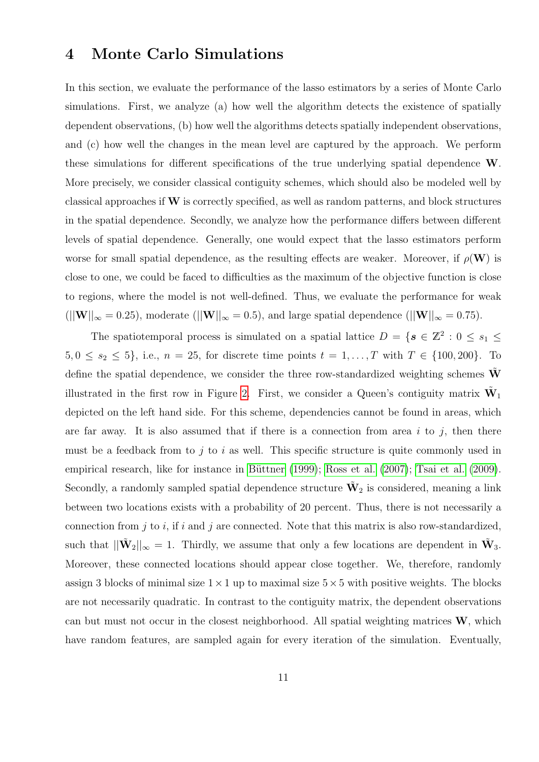### 4 Monte Carlo Simulations

In this section, we evaluate the performance of the lasso estimators by a series of Monte Carlo simulations. First, we analyze (a) how well the algorithm detects the existence of spatially dependent observations, (b) how well the algorithms detects spatially independent observations, and (c) how well the changes in the mean level are captured by the approach. We perform these simulations for different specifications of the true underlying spatial dependence W. More precisely, we consider classical contiguity schemes, which should also be modeled well by classical approaches if  $W$  is correctly specified, as well as random patterns, and block structures in the spatial dependence. Secondly, we analyze how the performance differs between different levels of spatial dependence. Generally, one would expect that the lasso estimators perform worse for small spatial dependence, as the resulting effects are weaker. Moreover, if  $\rho(\mathbf{W})$  is close to one, we could be faced to difficulties as the maximum of the objective function is close to regions, where the model is not well-defined. Thus, we evaluate the performance for weak  $(||W||_{\infty} = 0.25)$ , moderate  $(||W||_{\infty} = 0.5)$ , and large spatial dependence  $(||W||_{\infty} = 0.75)$ .

The spatiotemporal process is simulated on a spatial lattice  $D = \{s \in \mathbb{Z}^2 : 0 \le s_1 \le s_2 \}$  $5, 0 \le s_2 \le 5$ , i.e.,  $n = 25$ , for discrete time points  $t = 1, ..., T$  with  $T \in \{100, 200\}$ . To define the spatial dependence, we consider the three row-standardized weighting schemes  $\tilde{W}$ illustrated in the first row in Figure [2.](#page-12-0) First, we consider a Queen's contiguity matrix  $\tilde{W}_1$ depicted on the left hand side. For this scheme, dependencies cannot be found in areas, which are far away. It is also assumed that if there is a connection from area i to j, then there must be a feedback from to j to i as well. This specific structure is quite commonly used in empirical research, like for instance in Büttner [\(1999\)](#page-23-12); [Ross et al.](#page-24-9) [\(2007\)](#page-24-9); [Tsai et al.](#page-24-10) [\(2009\)](#page-24-10). Secondly, a randomly sampled spatial dependence structure  $\tilde{W}_2$  is considered, meaning a link between two locations exists with a probability of 20 percent. Thus, there is not necessarily a connection from  $j$  to  $i$ , if  $i$  and  $j$  are connected. Note that this matrix is also row-standardized, such that  $||\tilde{\mathbf{W}}_2||_{\infty} = 1$ . Thirdly, we assume that only a few locations are dependent in  $\tilde{\mathbf{W}}_3$ . Moreover, these connected locations should appear close together. We, therefore, randomly assign 3 blocks of minimal size  $1 \times 1$  up to maximal size  $5 \times 5$  with positive weights. The blocks are not necessarily quadratic. In contrast to the contiguity matrix, the dependent observations can but must not occur in the closest neighborhood. All spatial weighting matrices W, which have random features, are sampled again for every iteration of the simulation. Eventually,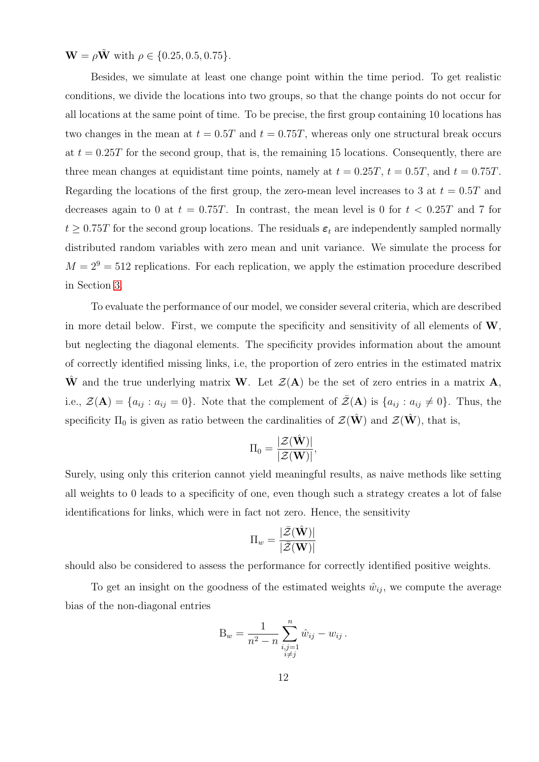$W = \rho \tilde{W}$  with  $\rho \in \{0.25, 0.5, 0.75\}.$ 

Besides, we simulate at least one change point within the time period. To get realistic conditions, we divide the locations into two groups, so that the change points do not occur for all locations at the same point of time. To be precise, the first group containing 10 locations has two changes in the mean at  $t = 0.5T$  and  $t = 0.75T$ , whereas only one structural break occurs at  $t = 0.25T$  for the second group, that is, the remaining 15 locations. Consequently, there are three mean changes at equidistant time points, namely at  $t = 0.25T$ ,  $t = 0.5T$ , and  $t = 0.75T$ . Regarding the locations of the first group, the zero-mean level increases to 3 at  $t = 0.5T$  and decreases again to 0 at  $t = 0.75T$ . In contrast, the mean level is 0 for  $t < 0.25T$  and 7 for  $t \geq 0.75T$  for the second group locations. The residuals  $\varepsilon_t$  are independently sampled normally distributed random variables with zero mean and unit variance. We simulate the process for  $M = 2<sup>9</sup> = 512$  replications. For each replication, we apply the estimation procedure described in Section [3.](#page-6-0)

To evaluate the performance of our model, we consider several criteria, which are described in more detail below. First, we compute the specificity and sensitivity of all elements of  $W$ , but neglecting the diagonal elements. The specificity provides information about the amount of correctly identified missing links, i.e, the proportion of zero entries in the estimated matrix  $\hat{W}$  and the true underlying matrix W. Let  $\mathcal{Z}(A)$  be the set of zero entries in a matrix A, i.e.,  $\mathcal{Z}(\mathbf{A}) = \{a_{ij} : a_{ij} = 0\}$ . Note that the complement of  $\bar{\mathcal{Z}}(\mathbf{A})$  is  $\{a_{ij} : a_{ij} \neq 0\}$ . Thus, the specificity  $\Pi_0$  is given as ratio between the cardinalities of  $\mathcal{Z}(\hat{\mathbf{W}})$  and  $\mathcal{Z}(\hat{\mathbf{W}})$ , that is,

$$
\Pi_0=\frac{|\mathcal{Z}(\hat{\mathbf{W}})|}{|\mathcal{Z}(\mathbf{W})|},
$$

Surely, using only this criterion cannot yield meaningful results, as naive methods like setting all weights to 0 leads to a specificity of one, even though such a strategy creates a lot of false identifications for links, which were in fact not zero. Hence, the sensitivity

$$
\Pi_w = \frac{|\bar{\mathcal{Z}}(\hat{\mathbf{W}})|}{|\bar{\mathcal{Z}}(\mathbf{W})|}
$$

should also be considered to assess the performance for correctly identified positive weights.

To get an insight on the goodness of the estimated weights  $\hat{w}_{ij}$ , we compute the average bias of the non-diagonal entries

$$
B_w = \frac{1}{n^2 - n} \sum_{\substack{i,j=1 \\ i \neq j}}^n \hat{w}_{ij} - w_{ij} \, .
$$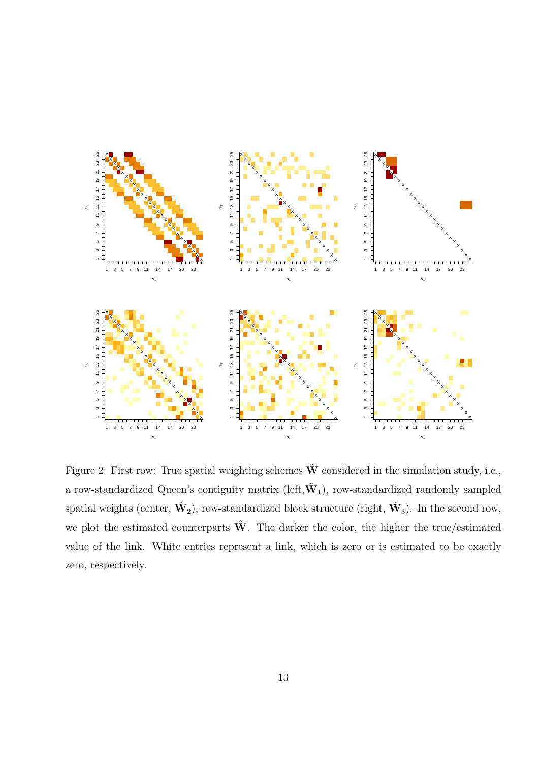

<span id="page-12-0"></span>Figure 2: First row: True spatial weighting schemes  $\tilde{W}$  considered in the simulation study, i.e., a row-standardized Queen's contiguity matrix (left,  $\tilde{W}_1$ ), row-standardized randomly sampled spatial weights (center,  $\tilde{\mathbf{W}}_2$ ), row-standardized block structure (right,  $\tilde{\mathbf{W}}_3$ ). In the second row, we plot the estimated counterparts  $\hat{W}$ . The darker the color, the higher the true/estimated value of the link. White entries represent a link, which is zero or is estimated to be exactly zero, respectively.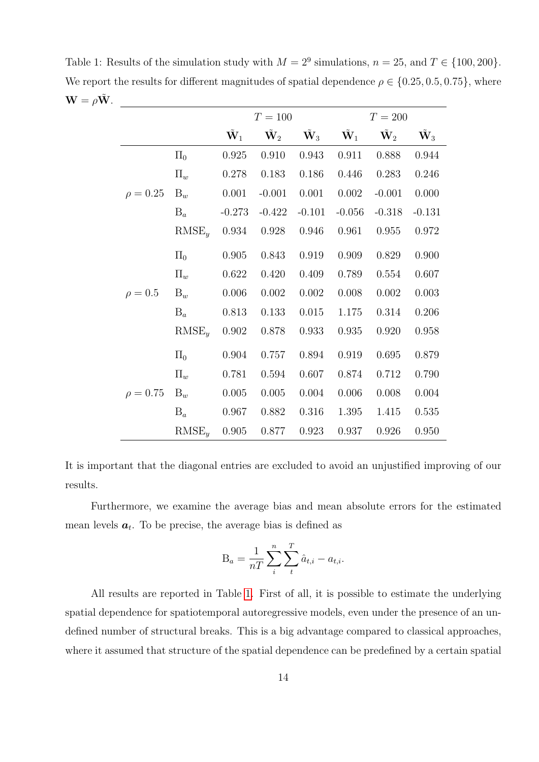<span id="page-13-0"></span>Table 1: Results of the simulation study with  $M = 2^9$  simulations,  $n = 25$ , and  $T \in \{100, 200\}$ . We report the results for different magnitudes of spatial dependence  $\rho \in \{0.25, 0.5, 0.75\}$ , where  $\mathbf{W} = \rho \tilde{\mathbf{W}}$ .

|               |            | $T = 100$              |                        |                        | $T = 200$              |                        |                        |
|---------------|------------|------------------------|------------------------|------------------------|------------------------|------------------------|------------------------|
|               |            | $\tilde{\mathbf{W}}_1$ | $\tilde{\mathbf{W}}_2$ | $\tilde{\mathbf{W}}_3$ | $\tilde{\mathbf{W}}_1$ | $\tilde{\mathbf{W}}_2$ | $\tilde{\mathbf{W}}_3$ |
|               | $\Pi_0$    | 0.925                  | 0.910                  | 0.943                  | 0.911                  | 0.888                  | 0.944                  |
| $\rho = 0.25$ | $\Pi_w$    | 0.278                  | 0.183                  | 0.186                  | 0.446                  | 0.283                  | 0.246                  |
|               | $B_w$      | 0.001                  | $-0.001$               | 0.001                  | 0.002                  | $-0.001$               | 0.000                  |
|               | $B_a$      | $-0.273$               | $-0.422$               | $-0.101$               | $-0.056$               | $-0.318$               | $-0.131$               |
|               | $RMSE_{y}$ | 0.934                  | 0.928                  | 0.946                  | 0.961                  | 0.955                  | 0.972                  |
| $\rho = 0.5$  | $\Pi_0$    | 0.905                  | 0.843                  | $\,0.919\,$            | 0.909                  | 0.829                  | 0.900                  |
|               | $\Pi_w$    | 0.622                  | 0.420                  | 0.409                  | 0.789                  | 0.554                  | 0.607                  |
|               | $B_w$      | 0.006                  | 0.002                  | 0.002                  | 0.008                  | 0.002                  | 0.003                  |
|               | $B_a$      | 0.813                  | 0.133                  | 0.015                  | 1.175                  | 0.314                  | 0.206                  |
|               | $RMSE_u$   | 0.902                  | 0.878                  | 0.933                  | 0.935                  | 0.920                  | 0.958                  |
| $\rho = 0.75$ | $\Pi_0$    | 0.904                  | 0.757                  | 0.894                  | 0.919                  | 0.695                  | 0.879                  |
|               | $\Pi_w$    | 0.781                  | 0.594                  | 0.607                  | 0.874                  | 0.712                  | 0.790                  |
|               | $B_w$      | 0.005                  | 0.005                  | $0.004\,$              | 0.006                  | 0.008                  | 0.004                  |
|               | $B_a$      | 0.967                  | 0.882                  | 0.316                  | 1.395                  | 1.415                  | 0.535                  |
|               | $RMSE_y$   | 0.905                  | 0.877                  | 0.923                  | 0.937                  | 0.926                  | 0.950                  |

It is important that the diagonal entries are excluded to avoid an unjustified improving of our results.

Furthermore, we examine the average bias and mean absolute errors for the estimated mean levels  $a_t$ . To be precise, the average bias is defined as

$$
\mathbf{B}_a = \frac{1}{nT} \sum_i^n \sum_t^T \hat{a}_{t,i} - a_{t,i}.
$$

All results are reported in Table [1.](#page-13-0) First of all, it is possible to estimate the underlying spatial dependence for spatiotemporal autoregressive models, even under the presence of an undefined number of structural breaks. This is a big advantage compared to classical approaches, where it assumed that structure of the spatial dependence can be predefined by a certain spatial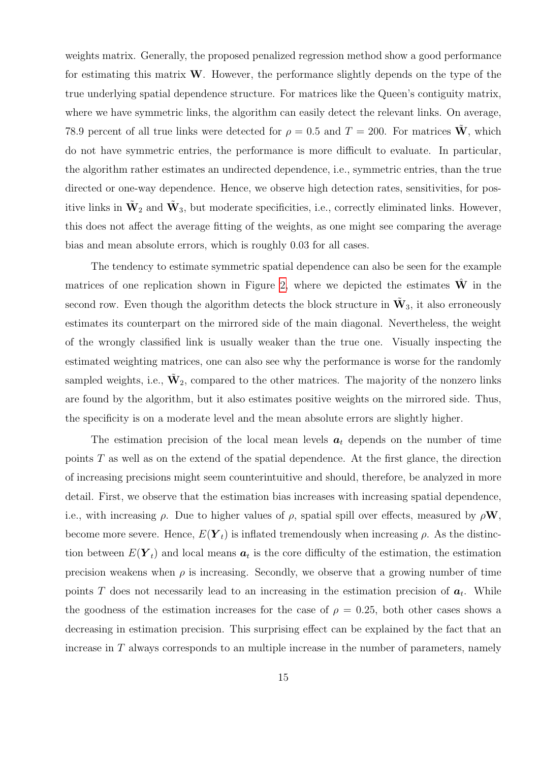weights matrix. Generally, the proposed penalized regression method show a good performance for estimating this matrix  $W$ . However, the performance slightly depends on the type of the true underlying spatial dependence structure. For matrices like the Queen's contiguity matrix, where we have symmetric links, the algorithm can easily detect the relevant links. On average, 78.9 percent of all true links were detected for  $\rho = 0.5$  and  $T = 200$ . For matrices W, which do not have symmetric entries, the performance is more difficult to evaluate. In particular, the algorithm rather estimates an undirected dependence, i.e., symmetric entries, than the true directed or one-way dependence. Hence, we observe high detection rates, sensitivities, for positive links in  $\tilde{\mathbf{W}}_2$  and  $\tilde{\mathbf{W}}_3$ , but moderate specificities, i.e., correctly eliminated links. However, this does not affect the average fitting of the weights, as one might see comparing the average bias and mean absolute errors, which is roughly 0.03 for all cases.

The tendency to estimate symmetric spatial dependence can also be seen for the example matrices of one replication shown in Figure [2,](#page-12-0) where we depicted the estimates  $\hat{W}$  in the second row. Even though the algorithm detects the block structure in  $\tilde{W}_3$ , it also erroneously estimates its counterpart on the mirrored side of the main diagonal. Nevertheless, the weight of the wrongly classified link is usually weaker than the true one. Visually inspecting the estimated weighting matrices, one can also see why the performance is worse for the randomly sampled weights, i.e.,  $\tilde{W}_2$ , compared to the other matrices. The majority of the nonzero links are found by the algorithm, but it also estimates positive weights on the mirrored side. Thus, the specificity is on a moderate level and the mean absolute errors are slightly higher.

The estimation precision of the local mean levels  $a_t$  depends on the number of time points T as well as on the extend of the spatial dependence. At the first glance, the direction of increasing precisions might seem counterintuitive and should, therefore, be analyzed in more detail. First, we observe that the estimation bias increases with increasing spatial dependence, i.e., with increasing  $\rho$ . Due to higher values of  $\rho$ , spatial spill over effects, measured by  $\rho \mathbf{W}$ , become more severe. Hence,  $E(Y_t)$  is inflated tremendously when increasing  $\rho$ . As the distinction between  $E(\boldsymbol{Y}_t)$  and local means  $\boldsymbol{a}_t$  is the core difficulty of the estimation, the estimation precision weakens when  $\rho$  is increasing. Secondly, we observe that a growing number of time points T does not necessarily lead to an increasing in the estimation precision of  $a_t$ . While the goodness of the estimation increases for the case of  $\rho = 0.25$ , both other cases shows a decreasing in estimation precision. This surprising effect can be explained by the fact that an increase in  $T$  always corresponds to an multiple increase in the number of parameters, namely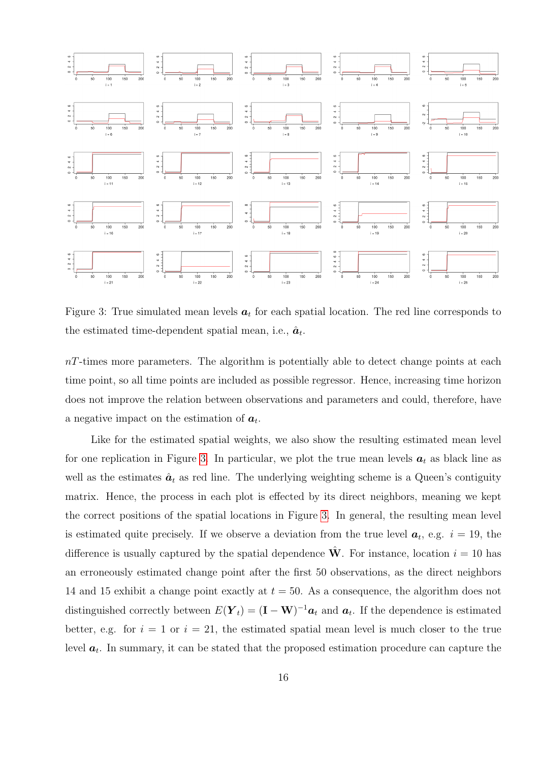

<span id="page-15-0"></span>Figure 3: True simulated mean levels  $a_t$  for each spatial location. The red line corresponds to the estimated time-dependent spatial mean, i.e.,  $\hat{a}_t$ .

 $nT$ -times more parameters. The algorithm is potentially able to detect change points at each time point, so all time points are included as possible regressor. Hence, increasing time horizon does not improve the relation between observations and parameters and could, therefore, have a negative impact on the estimation of  $a_t$ .

Like for the estimated spatial weights, we also show the resulting estimated mean level for one replication in Figure [3.](#page-15-0) In particular, we plot the true mean levels  $a_t$  as black line as well as the estimates  $\hat{a}_t$  as red line. The underlying weighting scheme is a Queen's contiguity matrix. Hence, the process in each plot is effected by its direct neighbors, meaning we kept the correct positions of the spatial locations in Figure [3.](#page-15-0) In general, the resulting mean level is estimated quite precisely. If we observe a deviation from the true level  $a_t$ , e.g.  $i = 19$ , the difference is usually captured by the spatial dependence  $\hat{W}$ . For instance, location  $i = 10$  has an erroneously estimated change point after the first 50 observations, as the direct neighbors 14 and 15 exhibit a change point exactly at  $t = 50$ . As a consequence, the algorithm does not distinguished correctly between  $E(\boldsymbol{Y}_t) = (\mathbf{I} - \mathbf{W})^{-1} \boldsymbol{a}_t$  and  $\boldsymbol{a}_t$ . If the dependence is estimated better, e.g. for  $i = 1$  or  $i = 21$ , the estimated spatial mean level is much closer to the true level  $a_t$ . In summary, it can be stated that the proposed estimation procedure can capture the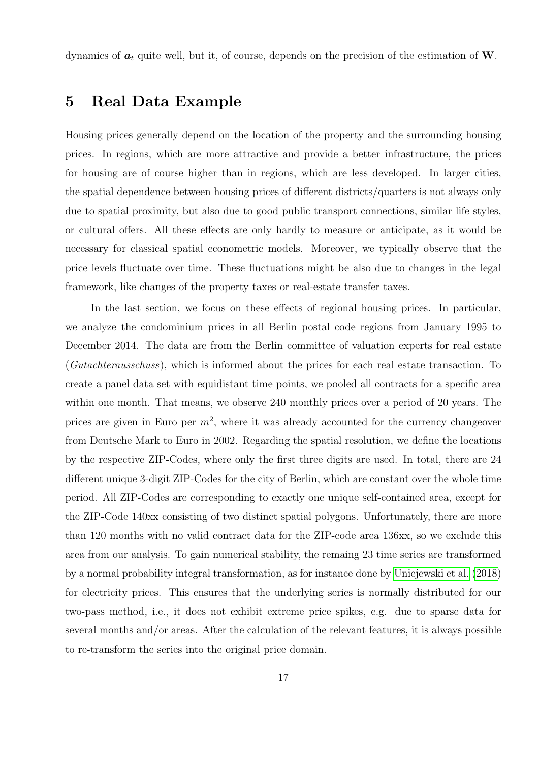dynamics of  $a_t$  quite well, but it, of course, depends on the precision of the estimation of W.

## 5 Real Data Example

Housing prices generally depend on the location of the property and the surrounding housing prices. In regions, which are more attractive and provide a better infrastructure, the prices for housing are of course higher than in regions, which are less developed. In larger cities, the spatial dependence between housing prices of different districts/quarters is not always only due to spatial proximity, but also due to good public transport connections, similar life styles, or cultural offers. All these effects are only hardly to measure or anticipate, as it would be necessary for classical spatial econometric models. Moreover, we typically observe that the price levels fluctuate over time. These fluctuations might be also due to changes in the legal framework, like changes of the property taxes or real-estate transfer taxes.

In the last section, we focus on these effects of regional housing prices. In particular, we analyze the condominium prices in all Berlin postal code regions from January 1995 to December 2014. The data are from the Berlin committee of valuation experts for real estate (Gutachterausschuss), which is informed about the prices for each real estate transaction. To create a panel data set with equidistant time points, we pooled all contracts for a specific area within one month. That means, we observe 240 monthly prices over a period of 20 years. The prices are given in Euro per  $m^2$ , where it was already accounted for the currency changeover from Deutsche Mark to Euro in 2002. Regarding the spatial resolution, we define the locations by the respective ZIP-Codes, where only the first three digits are used. In total, there are 24 different unique 3-digit ZIP-Codes for the city of Berlin, which are constant over the whole time period. All ZIP-Codes are corresponding to exactly one unique self-contained area, except for the ZIP-Code 140xx consisting of two distinct spatial polygons. Unfortunately, there are more than 120 months with no valid contract data for the ZIP-code area 136xx, so we exclude this area from our analysis. To gain numerical stability, the remaing 23 time series are transformed by a normal probability integral transformation, as for instance done by [Uniejewski et al.](#page-24-11) [\(2018\)](#page-24-11) for electricity prices. This ensures that the underlying series is normally distributed for our two-pass method, i.e., it does not exhibit extreme price spikes, e.g. due to sparse data for several months and/or areas. After the calculation of the relevant features, it is always possible to re-transform the series into the original price domain.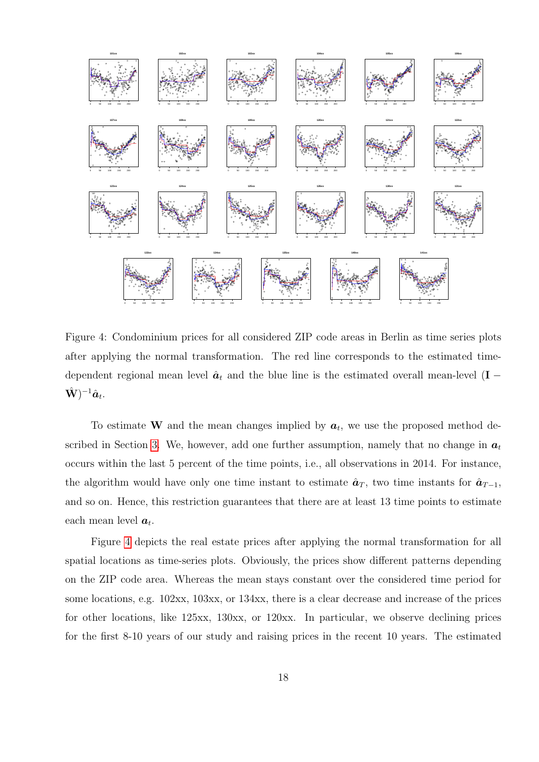

<span id="page-17-0"></span>Figure 4: Condominium prices for all considered ZIP code areas in Berlin as time series plots after applying the normal transformation. The red line corresponds to the estimated timedependent regional mean level  $\hat{a}_t$  and the blue line is the estimated overall mean-level (I –  $(\hat{\mathbf{W}})^{-1}\hat{\boldsymbol{a}}_t.$ 

To estimate **W** and the mean changes implied by  $a_t$ , we use the proposed method described in Section 3. We, however, add one further assumption, namely that no change in  $a_t$ occurs within the last 5 percent of the time points, i.e., all observations in 2014. For instance, the algorithm would have only one time instant to estimate  $\hat{a}_T$ , two time instants for  $\hat{a}_{T-1}$ , and so on. Hence, this restriction guarantees that there are at least 13 time points to estimate each mean level  $a_t$ .

Figure 4 depicts the real estate prices after applying the normal transformation for all spatial locations as time-series plots. Obviously, the prices show different patterns depending on the ZIP code area. Whereas the mean stays constant over the considered time period for some locations, e.g. 102xx, 103xx, or 134xx, there is a clear decrease and increase of the prices for other locations, like  $125xx$ ,  $130xx$ , or  $120xx$ . In particular, we observe declining prices for the first 8-10 years of our study and raising prices in the recent 10 years. The estimated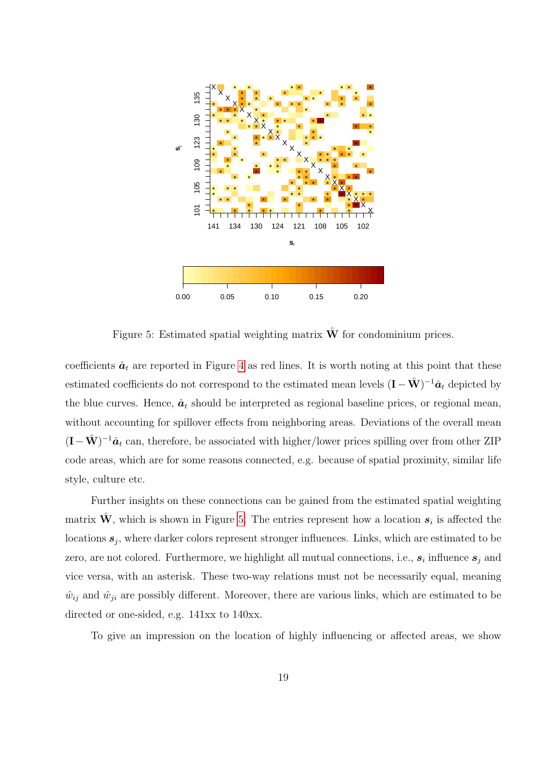

<span id="page-18-0"></span>Figure 5: Estimated spatial weighting matrix  $\hat{\mathbf{W}}$  for condominium prices.

coefficients  $\hat{a}_t$  are reported in Figure [4](#page-17-0) as red lines. It is worth noting at this point that these estimated coefficients do not correspond to the estimated mean levels  $(\mathbf{I} - \hat{\mathbf{W}})^{-1}\hat{\mathbf{a}}_t$  depicted by the blue curves. Hence,  $\hat{a}_t$  should be interpreted as regional baseline prices, or regional mean, without accounting for spillover effects from neighboring areas. Deviations of the overall mean  $(I - \hat{W})^{-1}\hat{a}_t$  can, therefore, be associated with higher/lower prices spilling over from other ZIP code areas, which are for some reasons connected, e.g. because of spatial proximity, similar life style, culture etc.

Further insights on these connections can be gained from the estimated spatial weighting matrix  $\hat{\mathbf{W}}$ , which is shown in Figure [5.](#page-18-0) The entries represent how a location  $s_i$  is affected the locations  $s_j$ , where darker colors represent stronger influences. Links, which are estimated to be zero, are not colored. Furthermore, we highlight all mutual connections, i.e.,  $s_i$  influence  $s_j$  and vice versa, with an asterisk. These two-way relations must not be necessarily equal, meaning  $\hat{w}_{ij}$  and  $\hat{w}_{ji}$  are possibly different. Moreover, there are various links, which are estimated to be directed or one-sided, e.g. 141xx to 140xx.

To give an impression on the location of highly influencing or affected areas, we show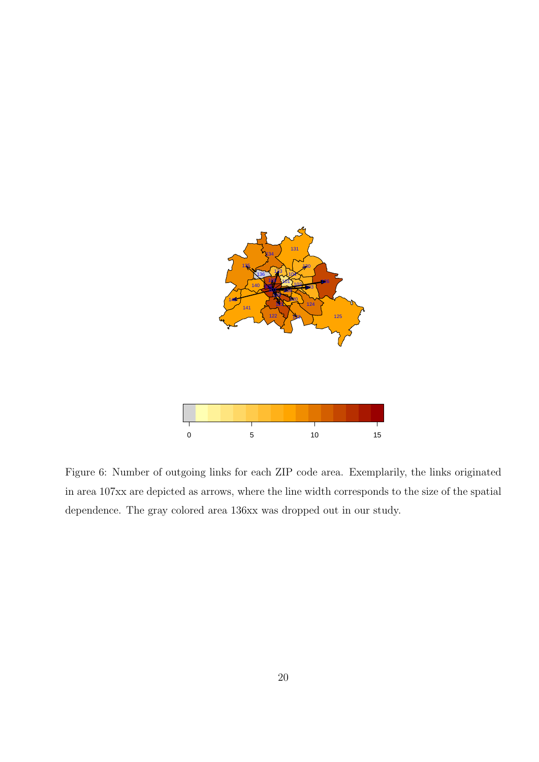

<span id="page-19-0"></span>Figure 6: Number of outgoing links for each ZIP code area. Exemplarily, the links originated in area 107xx are depicted as arrows, where the line width corresponds to the size of the spatial dependence. The gray colored area 136xx was dropped out in our study.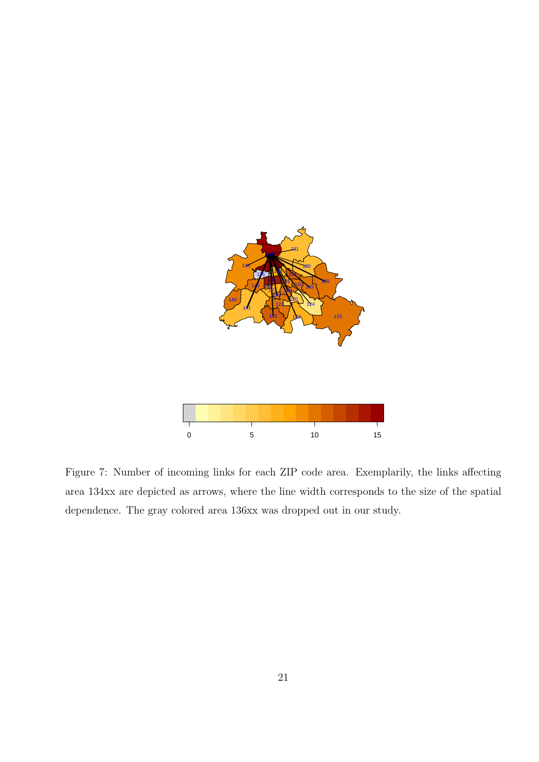

<span id="page-20-0"></span>Figure 7: Number of incoming links for each ZIP code area. Exemplarily, the links affecting area 134xx are depicted as arrows, where the line width corresponds to the size of the spatial dependence. The gray colored area 136xx was dropped out in our study.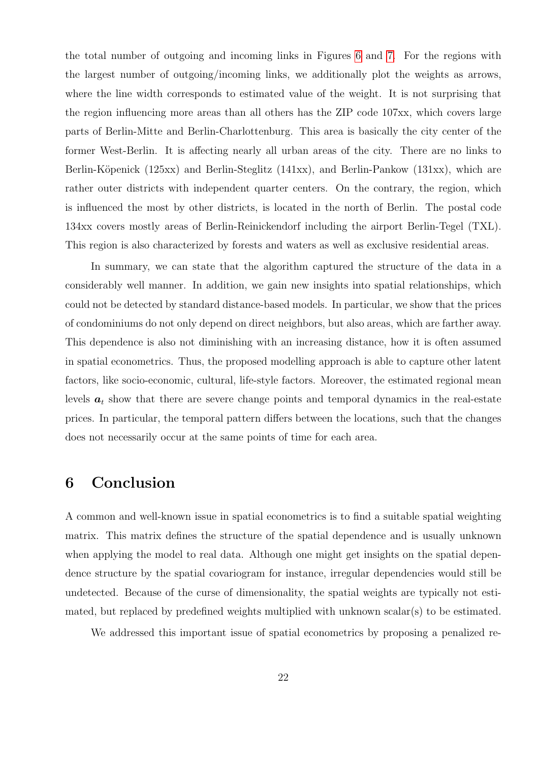the total number of outgoing and incoming links in Figures [6](#page-19-0) and [7.](#page-20-0) For the regions with the largest number of outgoing/incoming links, we additionally plot the weights as arrows, where the line width corresponds to estimated value of the weight. It is not surprising that the region influencing more areas than all others has the ZIP code 107xx, which covers large parts of Berlin-Mitte and Berlin-Charlottenburg. This area is basically the city center of the former West-Berlin. It is affecting nearly all urban areas of the city. There are no links to Berlin-Köpenick (125xx) and Berlin-Steglitz (141xx), and Berlin-Pankow (131xx), which are rather outer districts with independent quarter centers. On the contrary, the region, which is influenced the most by other districts, is located in the north of Berlin. The postal code 134xx covers mostly areas of Berlin-Reinickendorf including the airport Berlin-Tegel (TXL). This region is also characterized by forests and waters as well as exclusive residential areas.

In summary, we can state that the algorithm captured the structure of the data in a considerably well manner. In addition, we gain new insights into spatial relationships, which could not be detected by standard distance-based models. In particular, we show that the prices of condominiums do not only depend on direct neighbors, but also areas, which are farther away. This dependence is also not diminishing with an increasing distance, how it is often assumed in spatial econometrics. Thus, the proposed modelling approach is able to capture other latent factors, like socio-economic, cultural, life-style factors. Moreover, the estimated regional mean levels  $a_t$  show that there are severe change points and temporal dynamics in the real-estate prices. In particular, the temporal pattern differs between the locations, such that the changes does not necessarily occur at the same points of time for each area.

# <span id="page-21-0"></span>6 Conclusion

A common and well-known issue in spatial econometrics is to find a suitable spatial weighting matrix. This matrix defines the structure of the spatial dependence and is usually unknown when applying the model to real data. Although one might get insights on the spatial dependence structure by the spatial covariogram for instance, irregular dependencies would still be undetected. Because of the curse of dimensionality, the spatial weights are typically not estimated, but replaced by predefined weights multiplied with unknown  $\text{scalar}(s)$  to be estimated.

We addressed this important issue of spatial econometrics by proposing a penalized re-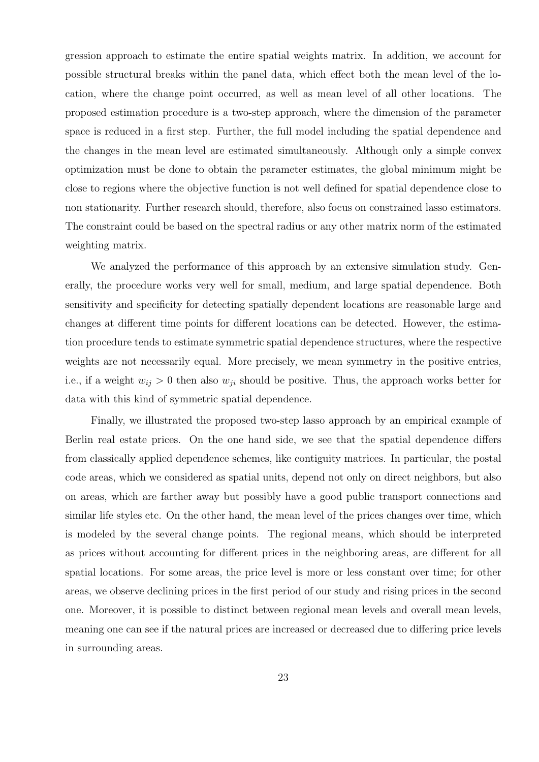gression approach to estimate the entire spatial weights matrix. In addition, we account for possible structural breaks within the panel data, which effect both the mean level of the location, where the change point occurred, as well as mean level of all other locations. The proposed estimation procedure is a two-step approach, where the dimension of the parameter space is reduced in a first step. Further, the full model including the spatial dependence and the changes in the mean level are estimated simultaneously. Although only a simple convex optimization must be done to obtain the parameter estimates, the global minimum might be close to regions where the objective function is not well defined for spatial dependence close to non stationarity. Further research should, therefore, also focus on constrained lasso estimators. The constraint could be based on the spectral radius or any other matrix norm of the estimated weighting matrix.

We analyzed the performance of this approach by an extensive simulation study. Generally, the procedure works very well for small, medium, and large spatial dependence. Both sensitivity and specificity for detecting spatially dependent locations are reasonable large and changes at different time points for different locations can be detected. However, the estimation procedure tends to estimate symmetric spatial dependence structures, where the respective weights are not necessarily equal. More precisely, we mean symmetry in the positive entries, i.e., if a weight  $w_{ij} > 0$  then also  $w_{ji}$  should be positive. Thus, the approach works better for data with this kind of symmetric spatial dependence.

Finally, we illustrated the proposed two-step lasso approach by an empirical example of Berlin real estate prices. On the one hand side, we see that the spatial dependence differs from classically applied dependence schemes, like contiguity matrices. In particular, the postal code areas, which we considered as spatial units, depend not only on direct neighbors, but also on areas, which are farther away but possibly have a good public transport connections and similar life styles etc. On the other hand, the mean level of the prices changes over time, which is modeled by the several change points. The regional means, which should be interpreted as prices without accounting for different prices in the neighboring areas, are different for all spatial locations. For some areas, the price level is more or less constant over time; for other areas, we observe declining prices in the first period of our study and rising prices in the second one. Moreover, it is possible to distinct between regional mean levels and overall mean levels, meaning one can see if the natural prices are increased or decreased due to differing price levels in surrounding areas.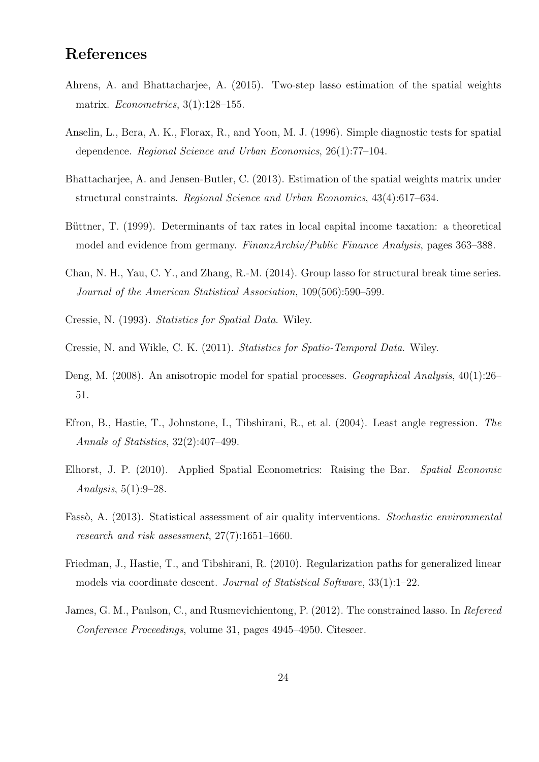# References

- <span id="page-23-4"></span>Ahrens, A. and Bhattacharjee, A. (2015). Two-step lasso estimation of the spatial weights matrix. Econometrics, 3(1):128–155.
- <span id="page-23-7"></span>Anselin, L., Bera, A. K., Florax, R., and Yoon, M. J. (1996). Simple diagnostic tests for spatial dependence. Regional Science and Urban Economics, 26(1):77–104.
- <span id="page-23-3"></span>Bhattacharjee, A. and Jensen-Butler, C. (2013). Estimation of the spatial weights matrix under structural constraints. Regional Science and Urban Economics, 43(4):617–634.
- <span id="page-23-12"></span>Büttner, T. (1999). Determinants of tax rates in local capital income taxation: a theoretical model and evidence from germany. FinanzArchiv/Public Finance Analysis, pages 363–388.
- <span id="page-23-8"></span>Chan, N. H., Yau, C. Y., and Zhang, R.-M. (2014). Group lasso for structural break time series. Journal of the American Statistical Association, 109(506):590–599.
- <span id="page-23-5"></span>Cressie, N. (1993). Statistics for Spatial Data. Wiley.
- <span id="page-23-6"></span>Cressie, N. and Wikle, C. K. (2011). Statistics for Spatio-Temporal Data. Wiley.
- <span id="page-23-1"></span>Deng, M. (2008). An anisotropic model for spatial processes. Geographical Analysis,  $40(1):26-$ 51.
- <span id="page-23-9"></span>Efron, B., Hastie, T., Johnstone, I., Tibshirani, R., et al. (2004). Least angle regression. The Annals of Statistics, 32(2):407–499.
- <span id="page-23-0"></span>Elhorst, J. P. (2010). Applied Spatial Econometrics: Raising the Bar. Spatial Economic Analysis, 5(1):9–28.
- <span id="page-23-2"></span>Fassò, A. (2013). Statistical assessment of air quality interventions. Stochastic environmental research and risk assessment, 27(7):1651–1660.
- <span id="page-23-10"></span>Friedman, J., Hastie, T., and Tibshirani, R. (2010). Regularization paths for generalized linear models via coordinate descent. Journal of Statistical Software,  $33(1):1-22$ .
- <span id="page-23-11"></span>James, G. M., Paulson, C., and Rusmevichientong, P. (2012). The constrained lasso. In Refereed Conference Proceedings, volume 31, pages 4945–4950. Citeseer.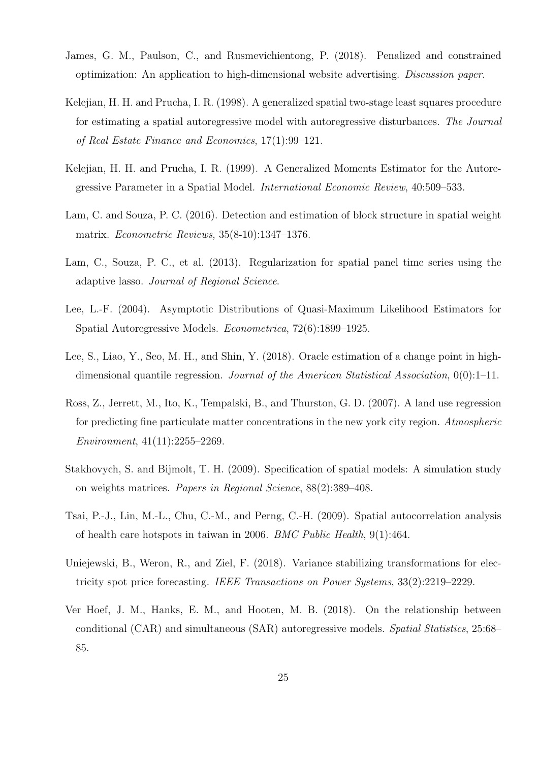- <span id="page-24-8"></span>James, G. M., Paulson, C., and Rusmevichientong, P. (2018). Penalized and constrained optimization: An application to high-dimensional website advertising. Discussion paper.
- <span id="page-24-4"></span>Kelejian, H. H. and Prucha, I. R. (1998). A generalized spatial two-stage least squares procedure for estimating a spatial autoregressive model with autoregressive disturbances. The Journal of Real Estate Finance and Economics, 17(1):99–121.
- <span id="page-24-3"></span>Kelejian, H. H. and Prucha, I. R. (1999). A Generalized Moments Estimator for the Autoregressive Parameter in a Spatial Model. International Economic Review, 40:509–533.
- <span id="page-24-6"></span>Lam, C. and Souza, P. C. (2016). Detection and estimation of block structure in spatial weight matrix. Econometric Reviews, 35(8-10):1347–1376.
- <span id="page-24-5"></span>Lam, C., Souza, P. C., et al. (2013). Regularization for spatial panel time series using the adaptive lasso. Journal of Regional Science.
- <span id="page-24-2"></span>Lee, L.-F. (2004). Asymptotic Distributions of Quasi-Maximum Likelihood Estimators for Spatial Autoregressive Models. Econometrica, 72(6):1899–1925.
- <span id="page-24-7"></span>Lee, S., Liao, Y., Seo, M. H., and Shin, Y. (2018). Oracle estimation of a change point in highdimensional quantile regression. Journal of the American Statistical Association,  $0(0)$ :1-11.
- <span id="page-24-9"></span>Ross, Z., Jerrett, M., Ito, K., Tempalski, B., and Thurston, G. D. (2007). A land use regression for predicting fine particulate matter concentrations in the new vork city region. Atmospheric Environment, 41(11):2255–2269.
- <span id="page-24-1"></span>Stakhovych, S. and Bijmolt, T. H. (2009). Specification of spatial models: A simulation study on weights matrices. Papers in Regional Science, 88(2):389–408.
- <span id="page-24-10"></span>Tsai, P.-J., Lin, M.-L., Chu, C.-M., and Perng, C.-H. (2009). Spatial autocorrelation analysis of health care hotspots in taiwan in 2006. BMC Public Health, 9(1):464.
- <span id="page-24-11"></span>Uniejewski, B., Weron, R., and Ziel, F. (2018). Variance stabilizing transformations for electricity spot price forecasting. IEEE Transactions on Power Systems, 33(2):2219–2229.
- <span id="page-24-0"></span>Ver Hoef, J. M., Hanks, E. M., and Hooten, M. B. (2018). On the relationship between conditional (CAR) and simultaneous (SAR) autoregressive models. Spatial Statistics, 25:68– 85.